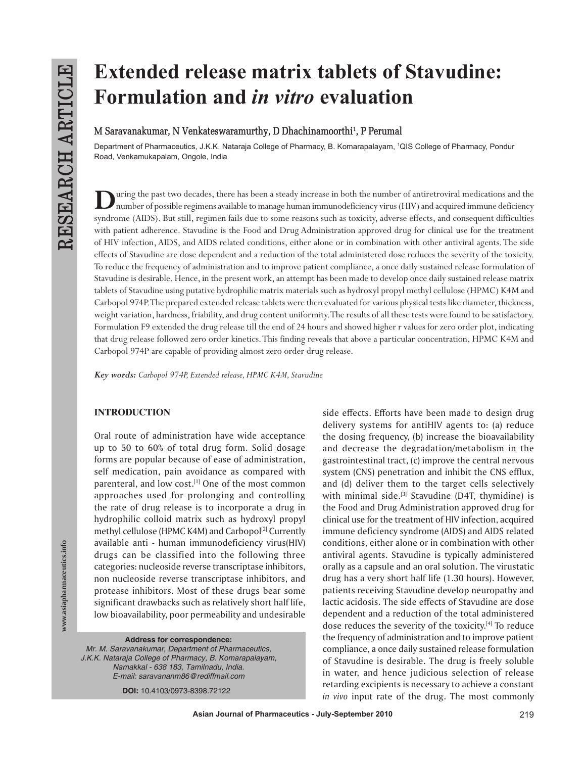# **Extended release matrix tablets of Stavudine: Formulation and** *in vitro* **evaluation**

# M Saravanakumar, N Venkateswaramurthy, D Dhachinamoorthi<sup>1</sup>, P Perumal

Department of Pharmaceutics, J.K.K. Nataraja College of Pharmacy, B. Komarapalayam, 1 QIS College of Pharmacy, Pondur Road, Venkamukapalam, Ongole, India

During the past two decades, there has been a steady increase in both the number of antiretroviral medications and the number of possible regimens available to manage human immunodeficiency virus (HIV) and acquired immune syndrome (AIDS). But still, regimen fails due to some reasons such as toxicity, adverse effects, and consequent difficulties with patient adherence. Stavudine is the Food and Drug Administration approved drug for clinical use for the treatment of HIV infection, AIDS, and AIDS related conditions, either alone or in combination with other antiviral agents. The side effects of Stavudine are dose dependent and a reduction of the total administered dose reduces the severity of the toxicity. To reduce the frequency of administration and to improve patient compliance, a once daily sustained release formulation of Stavudine is desirable. Hence, in the present work, an attempt has been made to develop once daily sustained release matrix tablets of Stavudine using putative hydrophilic matrix materials such as hydroxyl propyl methyl cellulose (HPMC) K4M and Carbopol 974P. The prepared extended release tablets were then evaluated for various physical tests like diameter, thickness, weight variation, hardness, friability, and drug content uniformity. The results of all these tests were found to be satisfactory. Formulation F9 extended the drug release till the end of 24 hours and showed higher r values for zero order plot, indicating that drug release followed zero order kinetics. This finding reveals that above a particular concentration, HPMC K4M and Carbopol 974P are capable of providing almost zero order drug release.

*Key words: Carbopol 974P, Extended release, HPMC K4M, Stavudine*

#### **INTRODUCTION**

Oral route of administration have wide acceptance up to 50 to 60% of total drug form. Solid dosage forms are popular because of ease of administration, self medication, pain avoidance as compared with parenteral, and low cost.<sup>[1]</sup> One of the most common approaches used for prolonging and controlling the rate of drug release is to incorporate a drug in hydrophilic colloid matrix such as hydroxyl propyl methyl cellulose (HPMC K4M) and Carbopol<sup>[2]</sup> Currently available anti - human immunodeficiency virus(HIV) drugs can be classified into the following three categories: nucleoside reverse transcriptase inhibitors, non nucleoside reverse transcriptase inhibitors, and protease inhibitors. Most of these drugs bear some significant drawbacks such as relatively short half life, low bioavailability, poor permeability and undesirable

**Address for correspondence:** *Mr. M. Saravanakumar, Department of Pharmaceutics, J.K.K. Nataraja College of Pharmacy, B. Komarapalayam, Namakkal - 638 183, Tamilnadu, India. E-mail: saravananm86@rediffmail.com*

**DOI:** 10.4103/0973-8398.72122

side effects. Efforts have been made to design drug delivery systems for antiHIV agents to: (a) reduce the dosing frequency, (b) increase the bioavailability and decrease the degradation/metabolism in the gastrointestinal tract, (c) improve the central nervous system (CNS) penetration and inhibit the CNS efflux, and (d) deliver them to the target cells selectively with minimal side. $[3]$  Stavudine (D4T, thymidine) is the Food and Drug Administration approved drug for clinical use for the treatment of HIV infection, acquired immune deficiency syndrome (AIDS) and AIDS related conditions, either alone or in combination with other antiviral agents. Stavudine is typically administered orally as a capsule and an oral solution. The virustatic drug has a very short half life (1.30 hours). However, patients receiving Stavudine develop neuropathy and lactic acidosis. The side effects of Stavudine are dose dependent and a reduction of the total administered dose reduces the severity of the toxicity.<sup>[4]</sup> To reduce the frequency of administration and to improve patient compliance, a once daily sustained release formulation of Stavudine is desirable. The drug is freely soluble in water, and hence judicious selection of release retarding excipients is necessary to achieve a constant *in vivo* input rate of the drug. The most commonly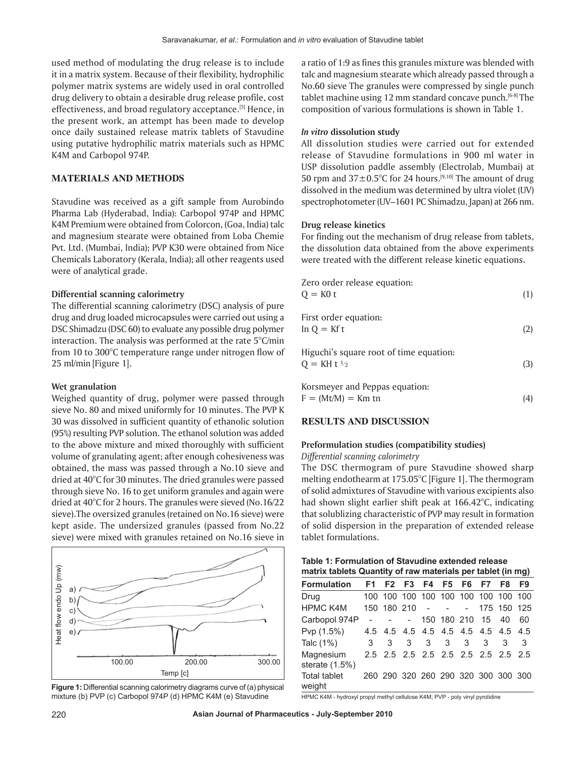used method of modulating the drug release is to include it in a matrix system. Because of their flexibility, hydrophilic polymer matrix systems are widely used in oral controlled drug delivery to obtain a desirable drug release profile, cost effectiveness, and broad regulatory acceptance.<sup>[5]</sup> Hence, in the present work, an attempt has been made to develop once daily sustained release matrix tablets of Stavudine using putative hydrophilic matrix materials such as HPMC K4M and Carbopol 974P.

## **MATERIALS AND METHODS**

Stavudine was received as a gift sample from Aurobindo Pharma Lab (Hyderabad, India): Carbopol 974P and HPMC K4M Premium were obtained from Colorcon, (Goa, India) talc and magnesium stearate were obtained from Loba Chemie Pvt*.* Ltd. (Mumbai, India); PVP K30 were obtained from Nice Chemicals Laboratory (Kerala, India); all other reagents used were of analytical grade.

#### **Differential scanning calorimetry**

The differential scanning calorimetry (DSC) analysis of pure drug and drug loaded microcapsules were carried out using a DSC Shimadzu (DSC 60) to evaluate any possible drug polymer interaction. The analysis was performed at the rate 5°C/min from 10 to 300°C temperature range under nitrogen flow of 25 ml/min [Figure 1].

#### **Wet granulation**

Weighed quantity of drug, polymer were passed through sieve No. 80 and mixed uniformly for 10 minutes. The PVP K 30 was dissolved in sufficient quantity of ethanolic solution (95%) resulting PVP solution. The ethanol solution was added to the above mixture and mixed thoroughly with sufficient volume of granulating agent; after enough cohesiveness was obtained, the mass was passed through a No.10 sieve and dried at 40°C for 30 minutes. The dried granules were passed through sieve No. 16 to get uniform granules and again were dried at 40°C for 2 hours. The granules were sieved (No.16/22 sieve).The oversized granules (retained on No.16 sieve) were kept aside. The undersized granules (passed from No.22 sieve) were mixed with granules retained on No.16 sieve in



**Figure 1:** Differential scanning calorimetry diagrams curve of (a) physical mixture (b) PVP (c) Carbopol 974P (d) HPMC K4M (e) Stavudine

a ratio of 1:9 as fines this granules mixture was blended with talc and magnesium stearate which already passed through a No.60 sieve The granules were compressed by single punch tablet machine using 12 mm standard concave punch.[6-8] The composition of various formulations is shown in Table 1.

# *In vitro* **dissolution study**

All dissolution studies were carried out for extended release of Stavudine formulations in 900 ml water in USP dissolution paddle assembly (Electrolab, Mumbai) at 50 rpm and  $37\pm0.5^{\circ}$ C for 24 hours.<sup>[9,10]</sup> The amount of drug dissolved in the medium was determined by ultra violet (UV) spectrophotometer(UV–1601 PC Shimadzu, Japan) at 266 nm.

#### **Drug release kinetics**

For finding out the mechanism of drug release from tablets, the dissolution data obtained from the above experiments were treated with the different release kinetic equations.

| Zero order release equation:<br>$Q = KO t$                        | (1) |
|-------------------------------------------------------------------|-----|
| First order equation:<br>$\ln Q = Kf t$                           | (2) |
| Higuchi's square root of time equation:<br>$Q = KH t \frac{1}{2}$ | (3) |

Korsmeyer and Peppas equation:  $F = (Mt/M) = Km \text{tn}$  (4)

#### **RESULTS AND DISCUSSION**

# **Preformulation studies (compatibility studies)**

## *Differential scanning calorimetry*

The DSC thermogram of pure Stavudine showed sharp melting endothearm at 175.05°C [Figure 1]. The thermogram of solid admixtures of Stavudine with various excipients also had shown slight earlier shift peak at 166.42°C, indicating that solublizing characteristic of PVP may result in formation of solid dispersion in the preparation of extended release tablet formulations.

| Table 1: Formulation of Stavudine extended release          |  |
|-------------------------------------------------------------|--|
| matrix tablets Quantity of raw materials per tablet (in mg) |  |

| $\frac{1}{100}$ and $\frac{1}{100}$ and $\frac{1}{100}$ and $\frac{1}{100}$ and $\frac{1}{100}$ and $\frac{1}{100}$ |   |   |        |       |                   |                                     |    |
|---------------------------------------------------------------------------------------------------------------------|---|---|--------|-------|-------------------|-------------------------------------|----|
| Formulation                                                                                                         |   |   |        |       |                   | F1 F2 F3 F4 F5 F6 F7 F8             | F9 |
| Drug                                                                                                                |   |   |        |       |                   | 100 100 100 100 100 100 100 100 100 |    |
| <b>HPMC K4M</b>                                                                                                     |   |   |        |       |                   | 150 180 210 - - - 175 150 125       |    |
| Carbopol 974P                                                                                                       |   |   | $\sim$ |       | 150 180 210 15 40 |                                     | 60 |
| Pvp (1.5%)                                                                                                          |   |   |        |       |                   | 4.5 4.5 4.5 4.5 4.5 4.5 4.5 4.5 4.5 |    |
| Talc (1%)                                                                                                           | 3 | 3 | 3      | 3 3 3 | 3                 | 3                                   | 3  |
| Magnesium<br>sterate $(1.5%)$                                                                                       |   |   |        |       |                   | 2.5 2.5 2.5 2.5 2.5 2.5 2.5 2.5 2.5 |    |
| Total tablet<br>weight                                                                                              |   |   |        |       |                   | 260 290 320 260 290 320 300 300 300 |    |

HPMC K4M - hydroxyl propyl methyl cellulose K4M; PVP - poly vinyl pyrolidine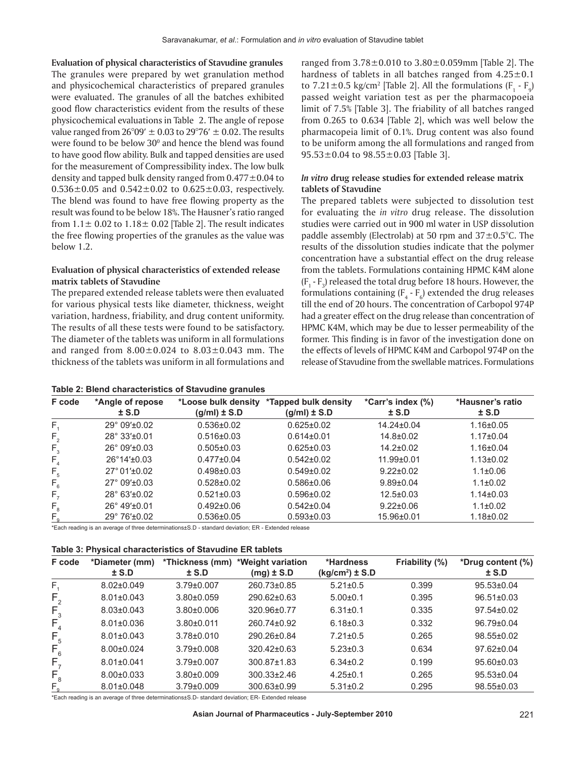**Evaluation of physical characteristics of Stavudine granules** The granules were prepared by wet granulation method and physicochemical characteristics of prepared granules were evaluated. The granules of all the batches exhibited good flow characteristics evident from the results of these physicochemical evaluations in Table 2. The angle of repose value ranged from  $26^{\circ}09' \pm 0.03$  to  $29^{\circ}76' \pm 0.02$ . The results were found to be below  $30^{\circ}$  and hence the blend was found to have good flow ability. Bulk and tapped densities are used for the measurement of Compressibility index. The low bulk density and tapped bulk density ranged from  $0.477 \pm 0.04$  to  $0.536 \pm 0.05$  and  $0.542 \pm 0.02$  to  $0.625 \pm 0.03$ , respectively. The blend was found to have free flowing property as the result was found to be below 18%. The Hausner's ratio ranged from  $1.1 \pm 0.02$  to  $1.18 \pm 0.02$  [Table 2]. The result indicates the free flowing properties of the granules as the value was below 1.2.

#### **Evaluation of physical characteristics of extended release matrix tablets of Stavudine**

The prepared extended release tablets were then evaluated for various physical tests like diameter, thickness, weight variation, hardness, friability, and drug content uniformity. The results of all these tests were found to be satisfactory. The diameter of the tablets was uniform in all formulations and ranged from  $8.00 \pm 0.024$  to  $8.03 \pm 0.043$  mm. The thickness of the tablets was uniform in all formulations and

|  | Table 2: Blend characteristics of Stavudine granules |  |  |
|--|------------------------------------------------------|--|--|
|--|------------------------------------------------------|--|--|

ranged from 3.78±0.010 to 3.80±0.059mm [Table 2]. The hardness of tablets in all batches ranged from  $4.25 \pm 0.1$ to 7.21 $\pm$ 0.5 kg/cm<sup>2</sup> [Table 2]. All the formulations (F<sub>1</sub> - F<sub>9</sub>) passed weight variation test as per the pharmacopoeia limit of 7.5% [Table 3]. The friability of all batches ranged from 0.265 to 0.634 [Table 2], which was well below the pharmacopeia limit of 0.1%. Drug content was also found to be uniform among the all formulations and ranged from 95.53 $\pm$ 0.04 to 98.55 $\pm$ 0.03 [Table 3].

#### *In vitro* **drug release studies for extended release matrix tablets of Stavudine**

The prepared tablets were subjected to dissolution test for evaluating the *in vitro* drug release. The dissolution studies were carried out in 900 ml water in USP dissolution paddle assembly (Electrolab) at 50 rpm and  $37\pm0.5^{\circ}$ C. The results of the dissolution studies indicate that the polymer concentration have a substantial effect on the drug release from the tablets. Formulations containing HPMC K4M alone  $(F_1 - F_3)$  released the total drug before 18 hours. However, the formulations containing  $(F_4 - F_6)$  extended the drug releases till the end of 20 hours. The concentration of Carbopol 974P had a greater effect on the drug release than concentration of HPMC K4M, which may be due to lesser permeability of the former. This finding is in favor of the investigation done on the effects of levels of HPMC K4M and Carbopol 974P on the release of Stavudine from the swellable matrices. Formulations

| F code         | *Angle of repose<br>$±$ S.D | *Loose bulk density<br>$(g/ml) \pm S.D$ | *Tapped bulk density<br>$(g/ml) \pm S.D$ | *Carr's index (%)<br>$±$ S.D | *Hausner's ratio<br>$±$ S.D |
|----------------|-----------------------------|-----------------------------------------|------------------------------------------|------------------------------|-----------------------------|
| $F_{4}$        | $29^{\circ}$ 09' $\pm$ 0.02 | $0.536 \pm 0.02$                        | $0.625 \pm 0.02$                         | 14.24±0.04                   | $1.16 \pm 0.05$             |
| F <sub>2</sub> | $28^{\circ}$ 33' $\pm$ 0.01 | $0.516 \pm 0.03$                        | $0.614\pm0.01$                           | 14.8±0.02                    | $1.17 \pm 0.04$             |
| $F_{3}$        | $26^{\circ}$ 09' $\pm$ 0.03 | $0.505 \pm 0.03$                        | $0.625 \pm 0.03$                         | $14.2 \pm 0.02$              | $1.16 \pm 0.04$             |
| F <sub>4</sub> | $26^{\circ}14' \pm 0.03$    | $0.477 \pm 0.04$                        | $0.542 \pm 0.02$                         | $11.99 \pm 0.01$             | $1.13 \pm 0.02$             |
| $F_{5}$        | $27^{\circ}$ 01'±0.02       | $0.498 \pm 0.03$                        | $0.549 \pm 0.02$                         | $9.22 \pm 0.02$              | $1.1 \pm 0.06$              |
| $F_{6}$        | $27^{\circ}$ 09' $\pm$ 0.03 | $0.528 \pm 0.02$                        | $0.586 \pm 0.06$                         | $9.89 \pm 0.04$              | $1.1 \pm 0.02$              |
| $F_{7}$        | 28° 63'±0.02                | $0.521 \pm 0.03$                        | $0.596 \pm 0.02$                         | $12.5 \pm 0.03$              | $1.14 \pm 0.03$             |
| $F_{8}$        | $26^{\circ}$ 49' $\pm$ 0.01 | $0.492 \pm 0.06$                        | $0.542 \pm 0.04$                         | $9.22 \pm 0.06$              | $1.1 \pm 0.02$              |
| $F_{\alpha}$   | 29° 76'±0.02                | $0.536 \pm 0.05$                        | $0.593 \pm 0.03$                         | 15.96±0.01                   | $1.18 \pm 0.02$             |

\*Each reading is an average of three determinations±S.D - standard deviation; ER - Extended release

| Table 3: Physical characteristics of Stavudine ER tablets |  |  |  |
|-----------------------------------------------------------|--|--|--|
|-----------------------------------------------------------|--|--|--|

| F code                      | *Diameter (mm)<br>$±$ S.D | *Thickness (mm)<br>$±$ S.D | *Weight variation<br>$(mg) \pm S.D$ | *Hardness<br>$(kq/cm2) \pm S.D$ | Friability (%) | *Drug content (%)<br>$±$ S.D |
|-----------------------------|---------------------------|----------------------------|-------------------------------------|---------------------------------|----------------|------------------------------|
| $\mathsf{F}_i$              | $8.02 \pm 0.049$          | $3.79 \pm 0.007$           | 260.73±0.85                         | $5.21 \pm 0.5$                  | 0.399          | $95.53 \pm 0.04$             |
| $F_{\scriptscriptstyle{2}}$ | $8.01 \pm 0.043$          | $3.80 + 0.059$             | 290.62±0.63                         | $5.00 \pm 0.1$                  | 0.395          | $96.51 \pm 0.03$             |
| $F_{3}$                     | $8.03 \pm 0.043$          | $3.80 \pm 0.006$           | 320.96±0.77                         | $6.31 \pm 0.1$                  | 0.335          | $97.54 \pm 0.02$             |
| $F_{4}$                     | $8.01 \pm 0.036$          | $3.80 + 0.011$             | 260.74±0.92                         | $6.18 \pm 0.3$                  | 0.332          | 96.79±0.04                   |
| $F_{5}$                     | $8.01 \pm 0.043$          | $3.78 \pm 0.010$           | 290.26±0.84                         | $7.21 \pm 0.5$                  | 0.265          | 98.55±0.02                   |
| $F_{6}$                     | $8.00 \pm 0.024$          | $3.79 \pm 0.008$           | 320.42±0.63                         | $5.23 \pm 0.3$                  | 0.634          | $97.62 \pm 0.04$             |
| F,                          | $8.01 \pm 0.041$          | $3.79 \pm 0.007$           | $300.87 \pm 1.83$                   | $6.34 \pm 0.2$                  | 0.199          | 95.60±0.03                   |
| $F_{\rm 8}$                 | $8.00 \pm 0.033$          | $3.80 \pm 0.009$           | $300.33 \pm 2.46$                   | $4.25 \pm 0.1$                  | 0.265          | 95.53±0.04                   |
| $F_{\alpha}$                | $8.01 \pm 0.048$          | $3.79 \pm 0.009$           | 300.63±0.99                         | $5.31 \pm 0.2$                  | 0.295          | 98.55±0.03                   |

\*Each reading is an average of three determinations±S.D- standard deviation; ER- Extended release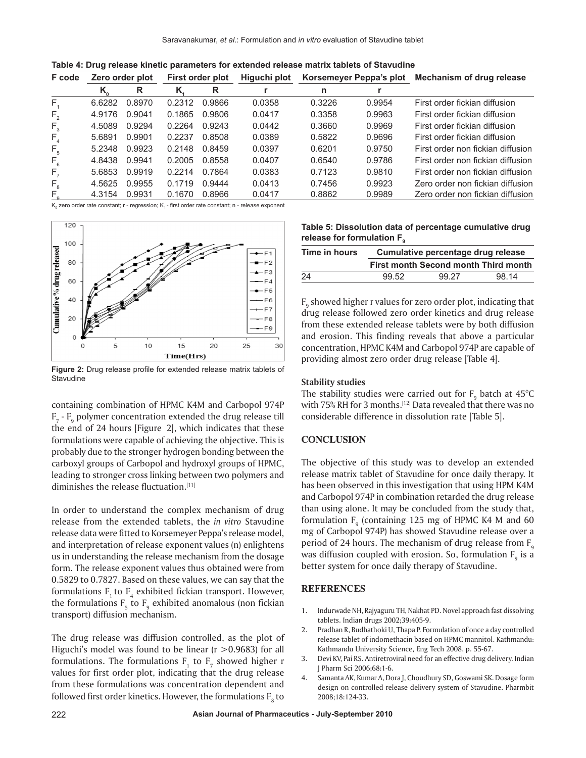| F code         |        | Zero order plot |        | First order plot | Higuchi plot | Korsemeyer Peppa's plot |        | Mechanism of drug release         |
|----------------|--------|-----------------|--------|------------------|--------------|-------------------------|--------|-----------------------------------|
|                | Κ.     | R               | Κ.     | R                |              | n                       |        |                                   |
| F.             | 6.6282 | 0.8970          | 0.2312 | 0.9866           | 0.0358       | 0.3226                  | 0.9954 | First order fickian diffusion     |
| F <sub>2</sub> | 4.9176 | 0.9041          | 0.1865 | 0.9806           | 0.0417       | 0.3358                  | 0.9963 | First order fickian diffusion     |
| $F_{3}$        | 4.5089 | 0.9294          | 0.2264 | 0.9243           | 0.0442       | 0.3660                  | 0.9969 | First order fickian diffusion     |
| $F_{4}$        | 5.6891 | 0.9901          | 0.2237 | 0.8508           | 0.0389       | 0.5822                  | 0.9696 | First order fickian diffusion     |
| $F_{5}$        | 5.2348 | 0.9923          | 0.2148 | 0.8459           | 0.0397       | 0.6201                  | 0.9750 | First order non fickian diffusion |
| $F_{6}$        | 4.8438 | 0.9941          | 0.2005 | 0.8558           | 0.0407       | 0.6540                  | 0.9786 | First order non fickian diffusion |
| $F_{7}$        | 5.6853 | 0.9919          | 0.2214 | 0.7864           | 0.0383       | 0.7123                  | 0.9810 | First order non fickian diffusion |
| $F_{8}$        | 4.5625 | 0.9955          | 0.1719 | 0.9444           | 0.0413       | 0.7456                  | 0.9923 | Zero order non fickian diffusion  |
| F.             | 4.3154 | 0.9931          | 0.1670 | 0.8966           | 0.0417       | 0.8862                  | 0.9989 | Zero order non fickian diffusion  |

**Table 4: Drug release kinetic parameters for extended release matrix tablets of Stavudine**

K<sub>0</sub> zero order rate constant; r - regression; K<sub>1</sub> - first order rate constant; n - release exponent



**Figure 2:** Drug release profile for extended release matrix tablets of **Stavudine** 

containing combination of HPMC K4M and Carbopol 974P  $F_7$  -  $F_9$  polymer concentration extended the drug release till the end of 24 hours [Figure 2], which indicates that these formulations were capable of achieving the objective. This is probably due to the stronger hydrogen bonding between the carboxyl groups of Carbopol and hydroxyl groups of HPMC, leading to stronger cross linking between two polymers and diminishes the release fluctuation.<sup>[11]</sup>

In order to understand the complex mechanism of drug release from the extended tablets, the *in vitro* Stavudine release data were fitted to Korsemeyer Peppa's release model, and interpretation of release exponent values (n) enlightens us in understanding the release mechanism from the dosage form. The release exponent values thus obtained were from 0.5829 to 0.7827. Based on these values, we can say that the formulations  $F_1$  to  $F_4$  exhibited fickian transport. However, the formulations  $F_5$  to  $F_9$  exhibited anomalous (non fickian transport) diffusion mechanism.

The drug release was diffusion controlled, as the plot of Higuchi's model was found to be linear  $(r > 0.9683)$  for all formulations. The formulations  $F_1$  to  $F_7$  showed higher r values for first order plot, indicating that the drug release from these formulations was concentration dependent and followed first order kinetics. However, the formulations  $\boldsymbol{\mathrm{F}}_{_{\boldsymbol{8}}}$  to

| Table 5: Dissolution data of percentage cumulative drug |  |
|---------------------------------------------------------|--|
| release for formulation F .                             |  |

| Time in hours | Cumulative percentage drug release |                                             |       |  |  |  |  |
|---------------|------------------------------------|---------------------------------------------|-------|--|--|--|--|
|               |                                    | <b>First month Second month Third month</b> |       |  |  |  |  |
| 24            | 99.52                              | 99.27                                       | 98.14 |  |  |  |  |

 $\mathrm{F}_{\mathrm{9}}$  showed higher r values for zero order plot, indicating that drug release followed zero order kinetics and drug release from these extended release tablets were by both diffusion and erosion. This finding reveals that above a particular concentration, HPMC K4M and Carbopol 974P are capable of providing almost zero order drug release [Table 4].

#### **Stability studies**

The stability studies were carried out for  $\text{F}_{\text{9}}$  batch at 45°C with 75% RH for 3 months.<sup>[12]</sup> Data revealed that there was no considerable difference in dissolution rate [Table 5].

#### **CONCLUSION**

The objective of this study was to develop an extended release matrix tablet of Stavudine for once daily therapy. It has been observed in this investigation that using HPM K4M and Carbopol 974P in combination retarded the drug release than using alone. It may be concluded from the study that, formulation  $F_9$  (containing 125 mg of HPMC K4 M and 60 mg of Carbopol 974P) has showed Stavudine release over a period of 24 hours. The mechanism of drug release from  $F_{0}$ was diffusion coupled with erosion. So, formulation  $\boldsymbol{\mathrm{F}_{{}_{9}}}$  is a better system for once daily therapy of Stavudine.

#### **REFERENCES**

- 1. Indurwade NH, Rajyaguru TH, Nakhat PD. Novel approach fast dissolving tablets. Indian drugs 2002;39:405-9.
- 2. Pradhan R, Budhathoki U, Thapa P. Formulation of once a day controlled release tablet of indomethacin based on HPMC mannitol. Kathmandu: Kathmandu University Science, Eng Tech 2008. p. 55-67.
- 3. Devi KV, Pai RS. Antiretroviral need for an effective drug delivery. Indian J Pharm Sci 2006;68:1-6.
- 4. Samanta AK, Kumar A, Dora J, Choudhury SD, Goswami SK. Dosage form design on controlled release delivery system of Stavudine. Pharmbit 2008;18:124-33.